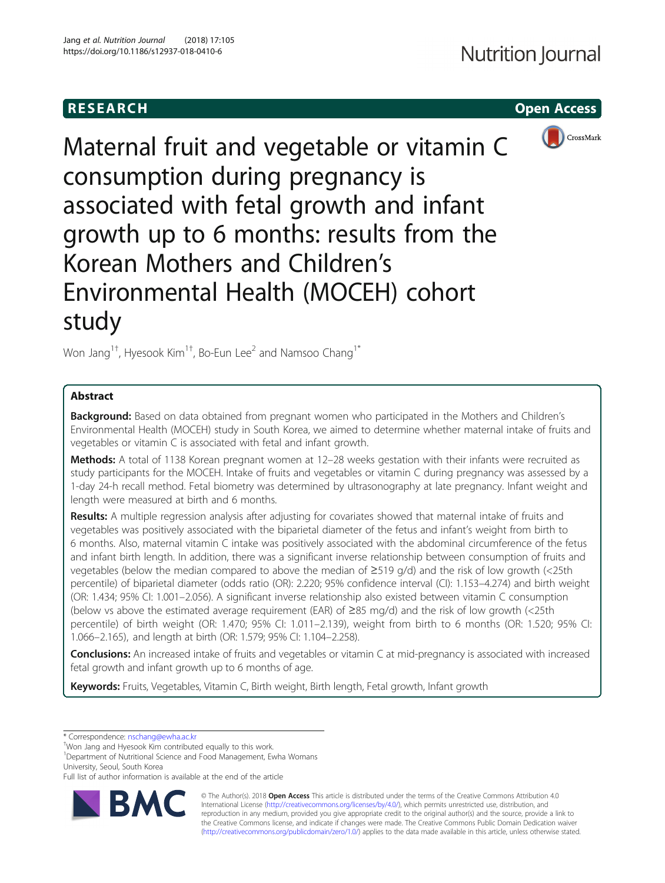# **RESEARCH CHINESE ARCH CHINESE ARCH**



Maternal fruit and vegetable or vitamin C consumption during pregnancy is associated with fetal growth and infant growth up to 6 months: results from the Korean Mothers and Children's Environmental Health (MOCEH) cohort study

Won Jang $^{1\dagger}$ , Hyesook Kim $^{1\dagger}$ , Bo-Eun Lee $^2$  and Namsoo Chang $^{1^\ast}$ 

# Abstract

**Background:** Based on data obtained from pregnant women who participated in the Mothers and Children's Environmental Health (MOCEH) study in South Korea, we aimed to determine whether maternal intake of fruits and vegetables or vitamin C is associated with fetal and infant growth.

Methods: A total of 1138 Korean pregnant women at 12-28 weeks gestation with their infants were recruited as study participants for the MOCEH. Intake of fruits and vegetables or vitamin C during pregnancy was assessed by a 1-day 24-h recall method. Fetal biometry was determined by ultrasonography at late pregnancy. Infant weight and length were measured at birth and 6 months.

Results: A multiple regression analysis after adjusting for covariates showed that maternal intake of fruits and vegetables was positively associated with the biparietal diameter of the fetus and infant's weight from birth to 6 months. Also, maternal vitamin C intake was positively associated with the abdominal circumference of the fetus and infant birth length. In addition, there was a significant inverse relationship between consumption of fruits and vegetables (below the median compared to above the median of ≥519 g/d) and the risk of low growth (<25th percentile) of biparietal diameter (odds ratio (OR): 2.220; 95% confidence interval (CI): 1.153–4.274) and birth weight (OR: 1.434; 95% CI: 1.001–2.056). A significant inverse relationship also existed between vitamin C consumption (below vs above the estimated average requirement (EAR) of ≥85 mg/d) and the risk of low growth (<25th percentile) of birth weight (OR: 1.470; 95% CI: 1.011–2.139), weight from birth to 6 months (OR: 1.520; 95% CI: 1.066–2.165), and length at birth (OR: 1.579; 95% CI: 1.104–2.258).

Conclusions: An increased intake of fruits and vegetables or vitamin C at mid-pregnancy is associated with increased fetal growth and infant growth up to 6 months of age.

Keywords: Fruits, Vegetables, Vitamin C, Birth weight, Birth length, Fetal growth, Infant growth

\* Correspondence: [nschang@ewha.ac.kr](mailto:nschang@ewha.ac.kr) †

Won Jang and Hyesook Kim contributed equally to this work.

<sup>1</sup>Department of Nutritional Science and Food Management, Ewha Womans University, Seoul, South Korea

Full list of author information is available at the end of the article



© The Author(s). 2018 Open Access This article is distributed under the terms of the Creative Commons Attribution 4.0 International License [\(http://creativecommons.org/licenses/by/4.0/](http://creativecommons.org/licenses/by/4.0/)), which permits unrestricted use, distribution, and reproduction in any medium, provided you give appropriate credit to the original author(s) and the source, provide a link to the Creative Commons license, and indicate if changes were made. The Creative Commons Public Domain Dedication waiver [\(http://creativecommons.org/publicdomain/zero/1.0/](http://creativecommons.org/publicdomain/zero/1.0/)) applies to the data made available in this article, unless otherwise stated.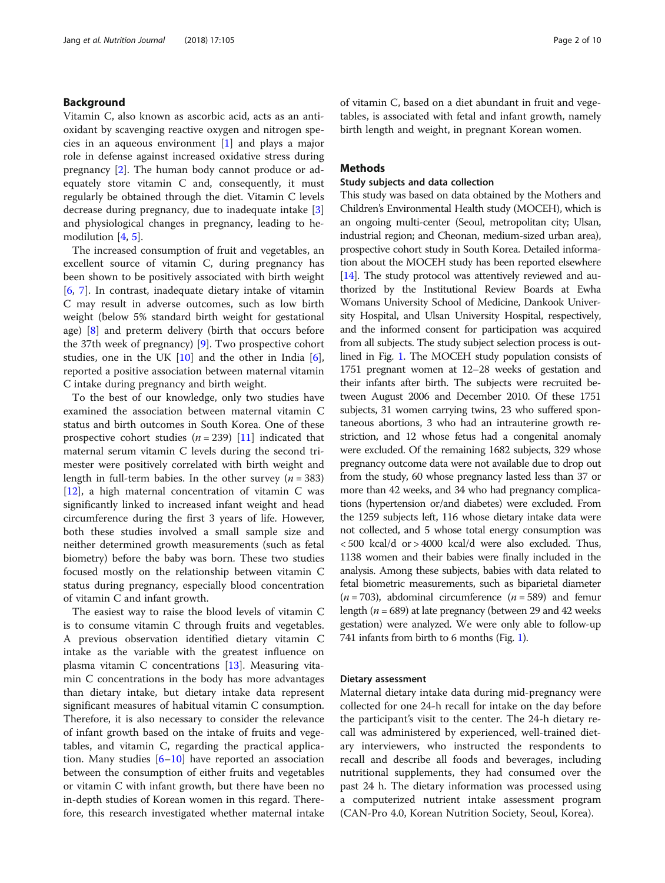# Background

Vitamin C, also known as ascorbic acid, acts as an antioxidant by scavenging reactive oxygen and nitrogen species in an aqueous environment  $[1]$  $[1]$  and plays a major role in defense against increased oxidative stress during pregnancy [[2\]](#page-8-0). The human body cannot produce or adequately store vitamin C and, consequently, it must regularly be obtained through the diet. Vitamin C levels decrease during pregnancy, due to inadequate intake [\[3](#page-8-0)] and physiological changes in pregnancy, leading to hemodilution [[4,](#page-8-0) [5\]](#page-8-0).

The increased consumption of fruit and vegetables, an excellent source of vitamin C, during pregnancy has been shown to be positively associated with birth weight [[6,](#page-8-0) [7\]](#page-8-0). In contrast, inadequate dietary intake of vitamin C may result in adverse outcomes, such as low birth weight (below 5% standard birth weight for gestational age) [[8\]](#page-8-0) and preterm delivery (birth that occurs before the 37th week of pregnancy) [[9](#page-8-0)]. Two prospective cohort studies, one in the UK  $[10]$  $[10]$  and the other in India  $[6]$  $[6]$ , reported a positive association between maternal vitamin C intake during pregnancy and birth weight.

To the best of our knowledge, only two studies have examined the association between maternal vitamin C status and birth outcomes in South Korea. One of these prospective cohort studies  $(n = 239)$  [\[11](#page-8-0)] indicated that maternal serum vitamin C levels during the second trimester were positively correlated with birth weight and length in full-term babies. In the other survey  $(n = 383)$ [[12\]](#page-8-0), a high maternal concentration of vitamin C was significantly linked to increased infant weight and head circumference during the first 3 years of life. However, both these studies involved a small sample size and neither determined growth measurements (such as fetal biometry) before the baby was born. These two studies focused mostly on the relationship between vitamin C status during pregnancy, especially blood concentration of vitamin C and infant growth.

The easiest way to raise the blood levels of vitamin C is to consume vitamin C through fruits and vegetables. A previous observation identified dietary vitamin C intake as the variable with the greatest influence on plasma vitamin C concentrations [\[13](#page-8-0)]. Measuring vitamin C concentrations in the body has more advantages than dietary intake, but dietary intake data represent significant measures of habitual vitamin C consumption. Therefore, it is also necessary to consider the relevance of infant growth based on the intake of fruits and vegetables, and vitamin C, regarding the practical application. Many studies [\[6](#page-8-0)–[10\]](#page-8-0) have reported an association between the consumption of either fruits and vegetables or vitamin C with infant growth, but there have been no in-depth studies of Korean women in this regard. Therefore, this research investigated whether maternal intake of vitamin C, based on a diet abundant in fruit and vegetables, is associated with fetal and infant growth, namely birth length and weight, in pregnant Korean women.

# Methods

## Study subjects and data collection

This study was based on data obtained by the Mothers and Children's Environmental Health study (MOCEH), which is an ongoing multi-center (Seoul, metropolitan city; Ulsan, industrial region; and Cheonan, medium-sized urban area), prospective cohort study in South Korea. Detailed information about the MOCEH study has been reported elsewhere [[14](#page-8-0)]. The study protocol was attentively reviewed and authorized by the Institutional Review Boards at Ewha Womans University School of Medicine, Dankook University Hospital, and Ulsan University Hospital, respectively, and the informed consent for participation was acquired from all subjects. The study subject selection process is outlined in Fig. [1](#page-2-0). The MOCEH study population consists of 1751 pregnant women at 12–28 weeks of gestation and their infants after birth. The subjects were recruited between August 2006 and December 2010. Of these 1751 subjects, 31 women carrying twins, 23 who suffered spontaneous abortions, 3 who had an intrauterine growth restriction, and 12 whose fetus had a congenital anomaly were excluded. Of the remaining 1682 subjects, 329 whose pregnancy outcome data were not available due to drop out from the study, 60 whose pregnancy lasted less than 37 or more than 42 weeks, and 34 who had pregnancy complications (hypertension or/and diabetes) were excluded. From the 1259 subjects left, 116 whose dietary intake data were not collected, and 5 whose total energy consumption was < 500 kcal/d or > 4000 kcal/d were also excluded. Thus, 1138 women and their babies were finally included in the analysis. Among these subjects, babies with data related to fetal biometric measurements, such as biparietal diameter  $(n = 703)$ , abdominal circumference  $(n = 589)$  and femur length ( $n = 689$ ) at late pregnancy (between 29 and 42 weeks gestation) were analyzed. We were only able to follow-up 741 infants from birth to 6 months (Fig. [1](#page-2-0)).

#### Dietary assessment

Maternal dietary intake data during mid-pregnancy were collected for one 24-h recall for intake on the day before the participant's visit to the center. The 24-h dietary recall was administered by experienced, well-trained dietary interviewers, who instructed the respondents to recall and describe all foods and beverages, including nutritional supplements, they had consumed over the past 24 h. The dietary information was processed using a computerized nutrient intake assessment program (CAN-Pro 4.0, Korean Nutrition Society, Seoul, Korea).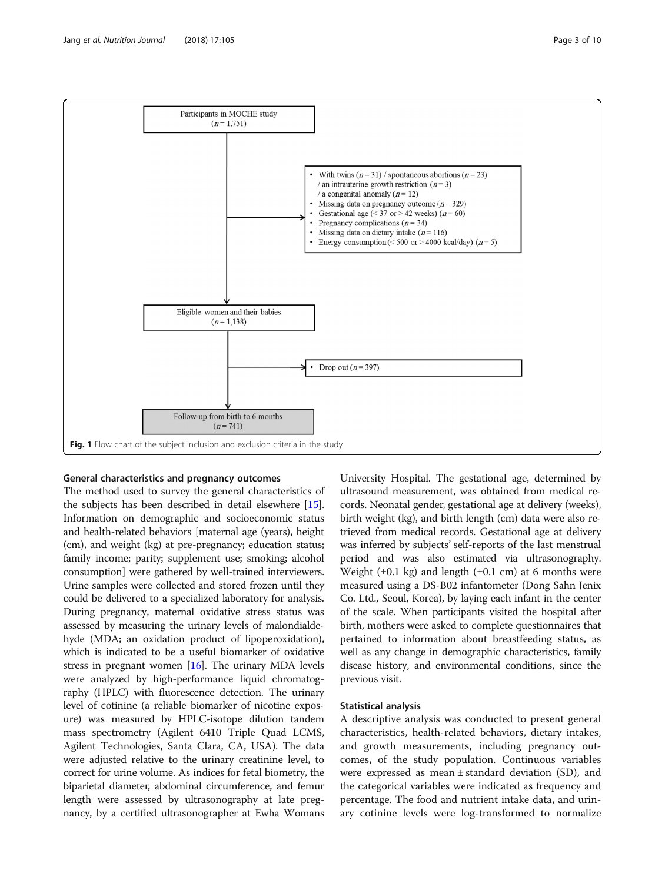<span id="page-2-0"></span>

### General characteristics and pregnancy outcomes

The method used to survey the general characteristics of the subjects has been described in detail elsewhere [[15](#page-8-0)]. Information on demographic and socioeconomic status and health-related behaviors [maternal age (years), height (cm), and weight (kg) at pre-pregnancy; education status; family income; parity; supplement use; smoking; alcohol consumption] were gathered by well-trained interviewers. Urine samples were collected and stored frozen until they could be delivered to a specialized laboratory for analysis. During pregnancy, maternal oxidative stress status was assessed by measuring the urinary levels of malondialdehyde (MDA; an oxidation product of lipoperoxidation), which is indicated to be a useful biomarker of oxidative stress in pregnant women  $[16]$  $[16]$  $[16]$ . The urinary MDA levels were analyzed by high-performance liquid chromatography (HPLC) with fluorescence detection. The urinary level of cotinine (a reliable biomarker of nicotine exposure) was measured by HPLC-isotope dilution tandem mass spectrometry (Agilent 6410 Triple Quad LCMS, Agilent Technologies, Santa Clara, CA, USA). The data were adjusted relative to the urinary creatinine level, to correct for urine volume. As indices for fetal biometry, the biparietal diameter, abdominal circumference, and femur length were assessed by ultrasonography at late pregnancy, by a certified ultrasonographer at Ewha Womans

University Hospital. The gestational age, determined by ultrasound measurement, was obtained from medical records. Neonatal gender, gestational age at delivery (weeks), birth weight (kg), and birth length (cm) data were also retrieved from medical records. Gestational age at delivery was inferred by subjects' self-reports of the last menstrual period and was also estimated via ultrasonography. Weight  $(\pm 0.1 \text{ kg})$  and length  $(\pm 0.1 \text{ cm})$  at 6 months were measured using a DS-B02 infantometer (Dong Sahn Jenix Co. Ltd., Seoul, Korea), by laying each infant in the center of the scale. When participants visited the hospital after birth, mothers were asked to complete questionnaires that pertained to information about breastfeeding status, as well as any change in demographic characteristics, family disease history, and environmental conditions, since the previous visit.

# Statistical analysis

A descriptive analysis was conducted to present general characteristics, health-related behaviors, dietary intakes, and growth measurements, including pregnancy outcomes, of the study population. Continuous variables were expressed as mean  $\pm$  standard deviation (SD), and the categorical variables were indicated as frequency and percentage. The food and nutrient intake data, and urinary cotinine levels were log-transformed to normalize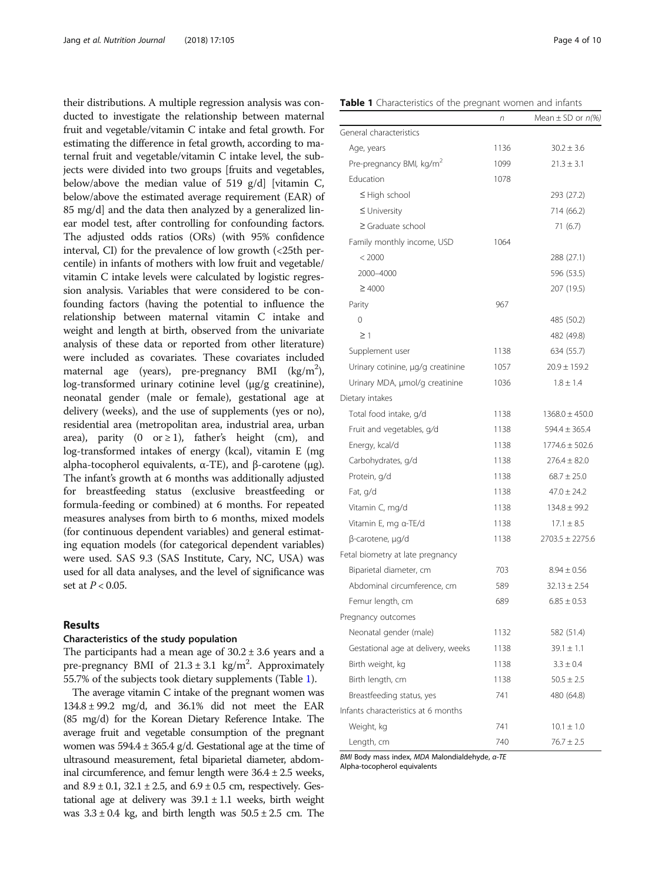their distributions. A multiple regression analysis was conducted to investigate the relationship between maternal fruit and vegetable/vitamin C intake and fetal growth. For estimating the difference in fetal growth, according to maternal fruit and vegetable/vitamin C intake level, the subjects were divided into two groups [fruits and vegetables, below/above the median value of 519 g/d] [vitamin C, below/above the estimated average requirement (EAR) of 85 mg/d] and the data then analyzed by a generalized linear model test, after controlling for confounding factors. The adjusted odds ratios (ORs) (with 95% confidence interval, CI) for the prevalence of low growth (<25th percentile) in infants of mothers with low fruit and vegetable/ vitamin C intake levels were calculated by logistic regression analysis. Variables that were considered to be confounding factors (having the potential to influence the relationship between maternal vitamin C intake and weight and length at birth, observed from the univariate analysis of these data or reported from other literature) were included as covariates. These covariates included maternal age (years), pre-pregnancy BMI (kg/m<sup>2</sup>), log-transformed urinary cotinine level (μg/g creatinine), neonatal gender (male or female), gestational age at delivery (weeks), and the use of supplements (yes or no), residential area (metropolitan area, industrial area, urban area), parity (0 or  $\geq$  1), father's height (cm), and log-transformed intakes of energy (kcal), vitamin E (mg alpha-tocopherol equivalents, α-TE), and β-carotene (μg). The infant's growth at 6 months was additionally adjusted for breastfeeding status (exclusive breastfeeding or formula-feeding or combined) at 6 months. For repeated measures analyses from birth to 6 months, mixed models (for continuous dependent variables) and general estimating equation models (for categorical dependent variables) were used. SAS 9.3 (SAS Institute, Cary, NC, USA) was used for all data analyses, and the level of significance was set at  $P < 0.05$ .

# Results

#### Characteristics of the study population

The participants had a mean age of  $30.2 \pm 3.6$  years and a pre-pregnancy BMI of  $21.3 \pm 3.1$  kg/m<sup>2</sup>. Approximately 55.7% of the subjects took dietary supplements (Table 1).

The average vitamin C intake of the pregnant women was 134.8 ± 99.2 mg/d, and 36.1% did not meet the EAR (85 mg/d) for the Korean Dietary Reference Intake. The average fruit and vegetable consumption of the pregnant women was  $594.4 \pm 365.4$  g/d. Gestational age at the time of ultrasound measurement, fetal biparietal diameter, abdominal circumference, and femur length were  $36.4 \pm 2.5$  weeks, and  $8.9 \pm 0.1$ ,  $32.1 \pm 2.5$ , and  $6.9 \pm 0.5$  cm, respectively. Gestational age at delivery was  $39.1 \pm 1.1$  weeks, birth weight was  $3.3 \pm 0.4$  kg, and birth length was  $50.5 \pm 2.5$  cm. The

Table 1 Characteristics of the pregnant women and infants

|                                      | n    | Mean $\pm$ SD or $n$ (%) |
|--------------------------------------|------|--------------------------|
| General characteristics              |      |                          |
| Age, years                           | 1136 | $30.2 \pm 3.6$           |
| Pre-pregnancy BMI, kg/m <sup>2</sup> | 1099 | $21.3 \pm 3.1$           |
| Education                            | 1078 |                          |
| $\leq$ High school                   |      | 293 (27.2)               |
| $\leq$ University                    |      | 714 (66.2)               |
| $\geq$ Graduate school               |      | 71 (6.7)                 |
| Family monthly income, USD           | 1064 |                          |
| < 2000                               |      | 288 (27.1)               |
| 2000-4000                            |      | 596 (53.5)               |
| $\geq 4000$                          |      | 207 (19.5)               |
| Parity                               | 967  |                          |
| 0                                    |      | 485 (50.2)               |
| $\geq$ 1                             |      | 482 (49.8)               |
| Supplement user                      | 1138 | 634 (55.7)               |
| Urinary cotinine, µg/g creatinine    | 1057 | $20.9 \pm 159.2$         |
| Urinary MDA, µmol/g creatinine       | 1036 | $1.8 \pm 1.4$            |
| Dietary intakes                      |      |                          |
| Total food intake, g/d               | 1138 | $1368.0 \pm 450.0$       |
| Fruit and vegetables, g/d            | 1138 | $594.4 \pm 365.4$        |
| Energy, kcal/d                       | 1138 | $1774.6 \pm 502.6$       |
| Carbohydrates, g/d                   | 1138 | $276.4 \pm 82.0$         |
| Protein, g/d                         | 1138 | $68.7 \pm 25.0$          |
| Fat, g/d                             | 1138 | $47.0 \pm 24.2$          |
| Vitamin C, mg/d                      | 1138 | $134.8 \pm 99.2$         |
| Vitamin E, mg a-TE/d                 | 1138 | $17.1 \pm 8.5$           |
| $\beta$ -carotene, $\mu$ g/d         | 1138 | $2703.5 \pm 2275.6$      |
| Fetal biometry at late pregnancy     |      |                          |
| Biparietal diameter, cm              | 703  | $8.94 \pm 0.56$          |
| Abdominal circumference, cm          | 589  | $32.13 \pm 2.54$         |
| Femur length, cm                     | 689  | $6.85 \pm 0.53$          |
| Pregnancy outcomes                   |      |                          |
| Neonatal gender (male)               | 1132 | 582 (51.4)               |
| Gestational age at delivery, weeks   | 1138 | $39.1 \pm 1.1$           |
| Birth weight, kg                     | 1138 | $3.3 \pm 0.4$            |
| Birth length, cm                     | 1138 | $50.5 \pm 2.5$           |
| Breastfeeding status, yes            | 741  | 480 (64.8)               |
| Infants characteristics at 6 months  |      |                          |
| Weight, kg                           | 741  | $10.1 \pm 1.0$           |
| Length, cm                           | 740  | $76.7 \pm 2.5$           |

BMI Body mass index, MDA Malondialdehyde, α-TE Alpha-tocopherol equivalents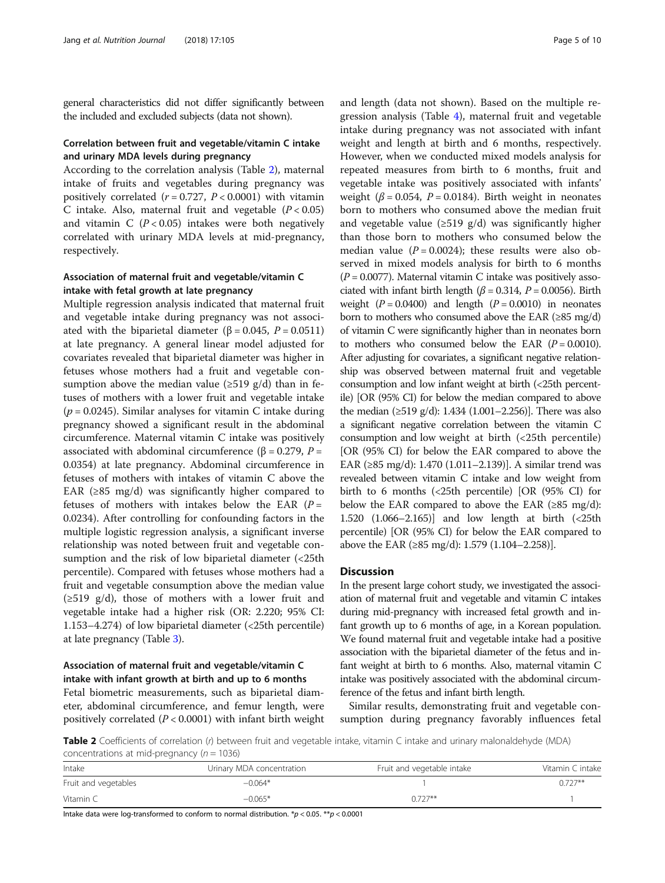general characteristics did not differ significantly between the included and excluded subjects (data not shown).

# Correlation between fruit and vegetable/vitamin C intake and urinary MDA levels during pregnancy

According to the correlation analysis (Table 2), maternal intake of fruits and vegetables during pregnancy was positively correlated  $(r = 0.727, P < 0.0001)$  with vitamin C intake. Also, maternal fruit and vegetable  $(P < 0.05)$ and vitamin C  $(P < 0.05)$  intakes were both negatively correlated with urinary MDA levels at mid-pregnancy, respectively.

# Association of maternal fruit and vegetable/vitamin C intake with fetal growth at late pregnancy

Multiple regression analysis indicated that maternal fruit and vegetable intake during pregnancy was not associated with the biparietal diameter ( $\beta$  = 0.045, P = 0.0511) at late pregnancy. A general linear model adjusted for covariates revealed that biparietal diameter was higher in fetuses whose mothers had a fruit and vegetable consumption above the median value ( $\geq$ 519 g/d) than in fetuses of mothers with a lower fruit and vegetable intake  $(p = 0.0245)$ . Similar analyses for vitamin C intake during pregnancy showed a significant result in the abdominal circumference. Maternal vitamin C intake was positively associated with abdominal circumference (β = 0.279,  $P =$ 0.0354) at late pregnancy. Abdominal circumference in fetuses of mothers with intakes of vitamin C above the EAR ( $\geq$ 85 mg/d) was significantly higher compared to fetuses of mothers with intakes below the EAR  $(P =$ 0.0234). After controlling for confounding factors in the multiple logistic regression analysis, a significant inverse relationship was noted between fruit and vegetable consumption and the risk of low biparietal diameter (<25th percentile). Compared with fetuses whose mothers had a fruit and vegetable consumption above the median value  $(\geq 519 \text{ g/d})$ , those of mothers with a lower fruit and vegetable intake had a higher risk (OR: 2.220; 95% CI: 1.153–4.274) of low biparietal diameter (<25th percentile) at late pregnancy (Table [3\)](#page-5-0).

# Association of maternal fruit and vegetable/vitamin C intake with infant growth at birth and up to 6 months

Fetal biometric measurements, such as biparietal diameter, abdominal circumference, and femur length, were positively correlated  $(P < 0.0001)$  with infant birth weight

and length (data not shown). Based on the multiple regression analysis (Table [4](#page-6-0)), maternal fruit and vegetable intake during pregnancy was not associated with infant weight and length at birth and 6 months, respectively. However, when we conducted mixed models analysis for repeated measures from birth to 6 months, fruit and vegetable intake was positively associated with infants' weight ( $\beta$  = 0.054, P = 0.0184). Birth weight in neonates born to mothers who consumed above the median fruit and vegetable value ( $\geq$ 519 g/d) was significantly higher than those born to mothers who consumed below the median value ( $P = 0.0024$ ); these results were also observed in mixed models analysis for birth to 6 months  $(P = 0.0077)$ . Maternal vitamin C intake was positively associated with infant birth length ( $\beta$  = 0.314, P = 0.0056). Birth weight  $(P = 0.0400)$  and length  $(P = 0.0010)$  in neonates born to mothers who consumed above the EAR ( $\geq 85$  mg/d) of vitamin C were significantly higher than in neonates born to mothers who consumed below the EAR  $(P = 0.0010)$ . After adjusting for covariates, a significant negative relationship was observed between maternal fruit and vegetable consumption and low infant weight at birth (<25th percentile) [OR (95% CI) for below the median compared to above the median  $(\geq 519 \text{ g/d})$ : 1.434  $(1.001 - 2.256)$ ]. There was also a significant negative correlation between the vitamin C consumption and low weight at birth (<25th percentile) [OR (95% CI) for below the EAR compared to above the EAR (≥85 mg/d): 1.470 (1.011–2.139)]. A similar trend was revealed between vitamin C intake and low weight from birth to 6 months (<25th percentile) [OR (95% CI) for below the EAR compared to above the EAR ( $\geq 85 \text{ mg/d}$ ): 1.520 (1.066–2.165)] and low length at birth (<25th percentile) [OR (95% CI) for below the EAR compared to above the EAR (≥85 mg/d): 1.579 (1.104–2.258)].

# **Discussion**

In the present large cohort study, we investigated the association of maternal fruit and vegetable and vitamin C intakes during mid-pregnancy with increased fetal growth and infant growth up to 6 months of age, in a Korean population. We found maternal fruit and vegetable intake had a positive association with the biparietal diameter of the fetus and infant weight at birth to 6 months. Also, maternal vitamin C intake was positively associated with the abdominal circumference of the fetus and infant birth length.

Similar results, demonstrating fruit and vegetable consumption during pregnancy favorably influences fetal

Table 2 Coefficients of correlation (r) between fruit and vegetable intake, vitamin C intake and urinary malonaldehyde (MDA) concentrations at mid-pregnancy ( $n = 1036$ )

| Intake               | Urinary MDA concentration | Fruit and vegetable intake | Vitamin C intake |
|----------------------|---------------------------|----------------------------|------------------|
| Fruit and vegetables | $-0.064*$                 |                            | $0.727**$        |
| Vitamin C            | $-0.065*$                 | $0.727**$                  |                  |

Intake data were log-transformed to conform to normal distribution.  $\frac{*p}{<}0.05$ .  $\frac{**p}{<}0.0001$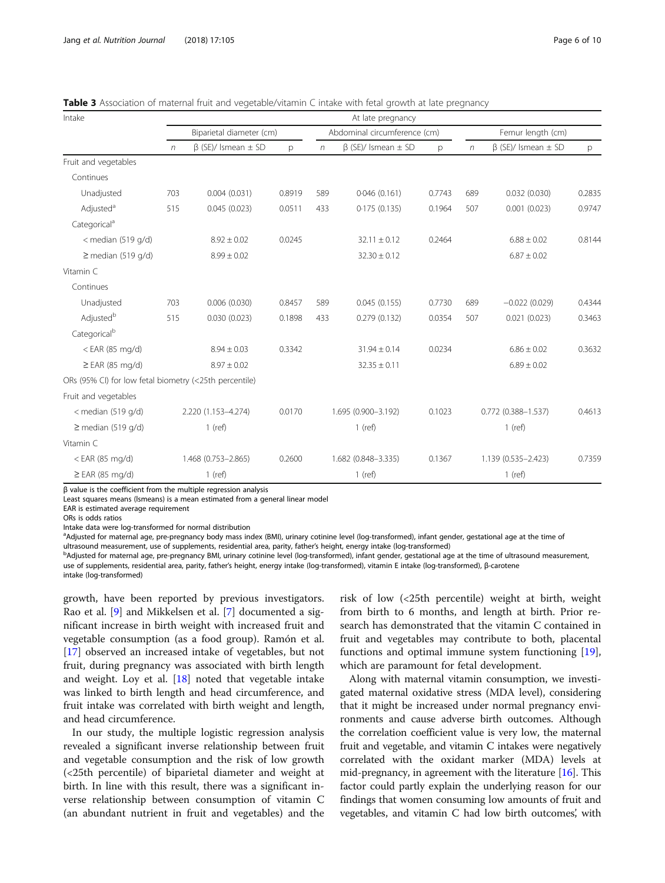<span id="page-5-0"></span>**Table 3** Association of maternal fruit and vegetable/vitamin C intake with fetal growth at late pregnancy

| Intake                                                 |            |                               |        |            | At late pregnancy             |        |        |                               |        |
|--------------------------------------------------------|------------|-------------------------------|--------|------------|-------------------------------|--------|--------|-------------------------------|--------|
|                                                        |            | Biparietal diameter (cm)      |        |            | Abdominal circumference (cm)  |        |        | Femur length (cm)             |        |
|                                                        | $\sqrt{n}$ | $\beta$ (SE)/ Ismean $\pm$ SD | p      | $\sqrt{n}$ | $\beta$ (SE)/ Ismean $\pm$ SD | p      | $\eta$ | $\beta$ (SE)/ Ismean $\pm$ SD | p      |
| Fruit and vegetables                                   |            |                               |        |            |                               |        |        |                               |        |
| Continues                                              |            |                               |        |            |                               |        |        |                               |        |
| Unadjusted                                             | 703        | 0.004(0.031)                  | 0.8919 | 589        | 0.046(0.161)                  | 0.7743 | 689    | 0.032(0.030)                  | 0.2835 |
| Adjusted <sup>a</sup>                                  | 515        | 0.045(0.023)                  | 0.0511 | 433        | 0.175(0.135)                  | 0.1964 | 507    | 0.001(0.023)                  | 0.9747 |
| Categorical <sup>a</sup>                               |            |                               |        |            |                               |        |        |                               |        |
| $<$ median (519 g/d)                                   |            | $8.92 \pm 0.02$               | 0.0245 |            | $32.11 \pm 0.12$              | 0.2464 |        | $6.88 \pm 0.02$               | 0.8144 |
| $\geq$ median (519 g/d)                                |            | $8.99 \pm 0.02$               |        |            | $32.30 \pm 0.12$              |        |        | $6.87 \pm 0.02$               |        |
| Vitamin C                                              |            |                               |        |            |                               |        |        |                               |        |
| Continues                                              |            |                               |        |            |                               |        |        |                               |        |
| Unadjusted                                             | 703        | 0.006(0.030)                  | 0.8457 | 589        | 0.045(0.155)                  | 0.7730 | 689    | $-0.022(0.029)$               | 0.4344 |
| Adjusted <sup>b</sup>                                  | 515        | 0.030(0.023)                  | 0.1898 | 433        | 0.279(0.132)                  | 0.0354 | 507    | 0.021(0.023)                  | 0.3463 |
| Categorical <sup>b</sup>                               |            |                               |        |            |                               |        |        |                               |        |
| $<$ EAR (85 mg/d)                                      |            | $8.94 \pm 0.03$               | 0.3342 |            | $31.94 \pm 0.14$              | 0.0234 |        | $6.86 \pm 0.02$               | 0.3632 |
| $\geq$ EAR (85 mg/d)                                   |            | $8.97 \pm 0.02$               |        |            | $32.35 \pm 0.11$              |        |        | $6.89 \pm 0.02$               |        |
| ORs (95% CI) for low fetal biometry (<25th percentile) |            |                               |        |            |                               |        |        |                               |        |
| Fruit and vegetables                                   |            |                               |        |            |                               |        |        |                               |        |
| $<$ median (519 g/d)                                   |            | 2.220 (1.153-4.274)           | 0.0170 |            | 1.695 (0.900-3.192)           | 0.1023 |        | 0.772 (0.388-1.537)           | 0.4613 |
| $\geq$ median (519 g/d)                                |            | $1$ (ref)                     |        |            | $1$ (ref)                     |        |        | $1$ (ref)                     |        |
| Vitamin C                                              |            |                               |        |            |                               |        |        |                               |        |
| $<$ EAR (85 mg/d)                                      |            | 1.468 (0.753-2.865)           | 0.2600 |            | 1.682 (0.848-3.335)           | 0.1367 |        | 1.139 (0.535-2.423)           | 0.7359 |
| $\geq$ EAR (85 mg/d)                                   |            | $1$ (ref)                     |        |            | $1$ (ref)                     |        |        | $1$ (ref)                     |        |

β value is the coefficient from the multiple regression analysis

Least squares means (lsmeans) is a mean estimated from a general linear model

EAR is estimated average requirement

ORs is odds ratios

intake (log-transformed)

Intake data were log-transformed for normal distribution

a<br>Adjusted for maternal age, pre-pregnancy body mass index (BMI), urinary cotinine level (log-transformed), infant gender, gestational age at the time of

ultrasound measurement, use of supplements, residential area, parity, father's height, energy intake (log-transformed) <sup>b</sup>

<sup>b</sup>Adjusted for maternal age, pre-pregnancy BMI, urinary cotinine level (log-transformed), infant gender, gestational age at the time of ultrasound measurement, use of supplements, residential area, parity, father's height, energy intake (log-transformed), vitamin E intake (log-transformed), β-carotene

growth, have been reported by previous investigators. Rao et al. [[9\]](#page-8-0) and Mikkelsen et al. [[7\]](#page-8-0) documented a significant increase in birth weight with increased fruit and vegetable consumption (as a food group). Ramón et al. [[17\]](#page-8-0) observed an increased intake of vegetables, but not fruit, during pregnancy was associated with birth length and weight. Loy et al.  $[18]$  $[18]$  noted that vegetable intake was linked to birth length and head circumference, and fruit intake was correlated with birth weight and length, and head circumference.

In our study, the multiple logistic regression analysis revealed a significant inverse relationship between fruit and vegetable consumption and the risk of low growth (<25th percentile) of biparietal diameter and weight at birth. In line with this result, there was a significant inverse relationship between consumption of vitamin C (an abundant nutrient in fruit and vegetables) and the

risk of low (<25th percentile) weight at birth, weight from birth to 6 months, and length at birth. Prior research has demonstrated that the vitamin C contained in fruit and vegetables may contribute to both, placental functions and optimal immune system functioning [\[19](#page-8-0)], which are paramount for fetal development.

Along with maternal vitamin consumption, we investigated maternal oxidative stress (MDA level), considering that it might be increased under normal pregnancy environments and cause adverse birth outcomes. Although the correlation coefficient value is very low, the maternal fruit and vegetable, and vitamin C intakes were negatively correlated with the oxidant marker (MDA) levels at mid-pregnancy, in agreement with the literature [\[16\]](#page-8-0). This factor could partly explain the underlying reason for our findings that women consuming low amounts of fruit and vegetables, and vitamin C had low birth outcomes', with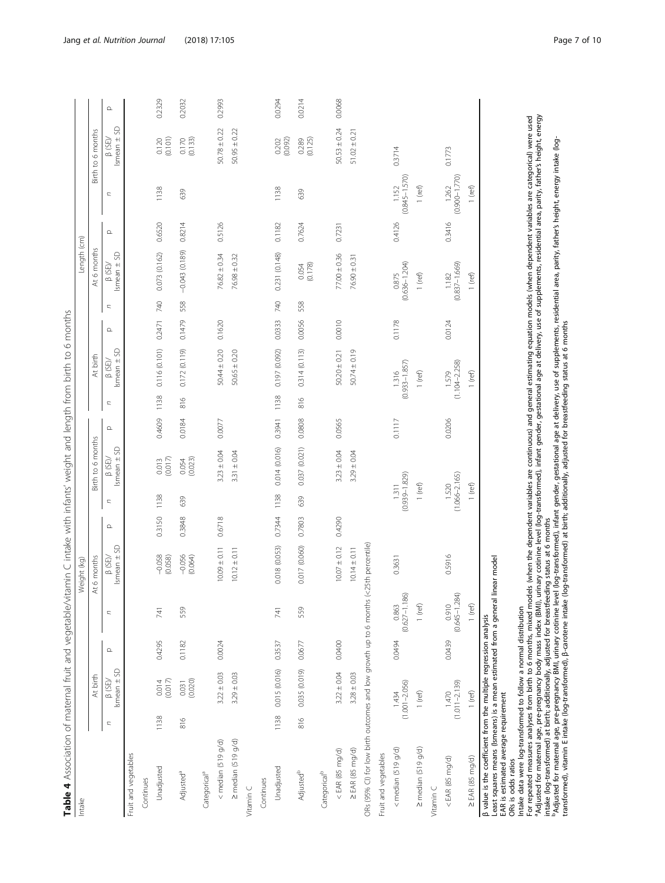|   | ì                                                                             |
|---|-------------------------------------------------------------------------------|
|   | j                                                                             |
|   | i                                                                             |
|   | ł                                                                             |
|   | !                                                                             |
|   |                                                                               |
|   | $\mathbf{r}$                                                                  |
|   |                                                                               |
|   | ł                                                                             |
|   | $\mathbf{I}$                                                                  |
|   |                                                                               |
|   | ś                                                                             |
|   | ׇ֘֒<br>֠                                                                      |
|   |                                                                               |
|   | ļ                                                                             |
|   | i<br>5<br>١                                                                   |
|   | i                                                                             |
|   | 1<br>j                                                                        |
|   | Į                                                                             |
|   | i                                                                             |
|   | ١                                                                             |
|   |                                                                               |
|   | ׇ֚֘֝֡                                                                         |
|   | i                                                                             |
|   | $\tilde{\phantom{a}}$                                                         |
|   |                                                                               |
|   | Ì<br>)                                                                        |
|   | J<br>ŗ<br>j                                                                   |
|   |                                                                               |
|   | j                                                                             |
|   | l                                                                             |
|   | i,                                                                            |
|   |                                                                               |
|   | Š<br>ļ<br>ë                                                                   |
|   | i<br>ī                                                                        |
|   | ֧֧֧֧֧֧֧֦֧֧֧֧֧֧֧֧֧֧֧֧֧֚֚֚֬֓֬֓֓֬֓֓֓֓֬֓֓֓֬֓֓֬֓֓֬֓֬֓֬֝֬֝֬֬֬֬֬֝֬֬֬֬֬֬֬֬            |
|   |                                                                               |
|   |                                                                               |
| I | ١                                                                             |
|   | ļ                                                                             |
|   |                                                                               |
|   | į                                                                             |
|   | \$                                                                            |
|   |                                                                               |
|   | I<br>l                                                                        |
|   | J<br>ţ                                                                        |
|   | j<br>ć                                                                        |
|   | i<br>J<br>j<br>֖֖֖֖֖֧ׅ֖֧֖֧֧֪ׅ֖֚֚֚֚֚֚֚֚֚֚֚֚֚֚֚֚֚֚֚֚֚֚֚֡֬֝֓֝֓֞֡֓֞֡֝֓֞֝֬֓֬֝֓֞֬֞֞ |
|   | $\overline{ }$<br>ļ<br>j                                                      |
|   |                                                                               |
|   | ī<br>١                                                                        |
|   | ١<br>ī                                                                        |
|   | İ                                                                             |
|   |                                                                               |
|   |                                                                               |
|   |                                                                               |
|   | ï<br>j<br>ļ                                                                   |
|   |                                                                               |
|   | ä<br>ļ                                                                        |
|   | J                                                                             |
|   |                                                                               |
|   | ١                                                                             |
|   |                                                                               |
|   | ł<br>١                                                                        |
|   |                                                                               |
|   | ī<br>i<br>ׇ֚֘֝֬                                                               |
|   | İ<br>l                                                                        |
|   | i                                                                             |
|   | i                                                                             |
|   | í                                                                             |
|   | d                                                                             |
|   |                                                                               |
|   | <b>able</b>                                                                   |

 $\frac{1}{\sqrt{2}}$ 

<span id="page-6-0"></span>

| Intake                                                                                                                                            |                 |                                  |                      |                            | Weight (kg)                      |                  |                              |                                  |                  |                 |                                  |                   |                | Length (cm)                      |                   |                            |                                 |          |
|---------------------------------------------------------------------------------------------------------------------------------------------------|-----------------|----------------------------------|----------------------|----------------------------|----------------------------------|------------------|------------------------------|----------------------------------|------------------|-----------------|----------------------------------|-------------------|----------------|----------------------------------|-------------------|----------------------------|---------------------------------|----------|
|                                                                                                                                                   |                 | At birth                         |                      |                            | 6 months<br>$\prec$              |                  |                              | Birth to 6 months                |                  |                 | At birth                         |                   |                | At 6 months                      |                   |                            | Birth to 6 months               |          |
|                                                                                                                                                   | $\overline{a}$  | $lsmean \pm SD$<br>$\beta$ (SE)/ | $\hskip 10pt \Delta$ | n                          | $lsmean \pm SD$<br>$\beta$ (SE)/ | $\mathsf \Omega$ | c                            | $\beta$ (SE)/<br>Ismean $\pm$ SD | $\mathsf \Omega$ | n               | Ismean $\pm$ SD<br>$\beta$ (SE)/ | $\mathbf{\Omega}$ | $\overline{a}$ | $\beta$ (SE)/<br>Ismean $\pm$ SD | $\mathbf{\Omega}$ | n                          | Ismean $\pm$ SD<br>$\beta$ (SE) | $\Omega$ |
| Fruit and vegetables                                                                                                                              |                 |                                  |                      |                            |                                  |                  |                              |                                  |                  |                 |                                  |                   |                |                                  |                   |                            |                                 |          |
| Continues                                                                                                                                         |                 |                                  |                      |                            |                                  |                  |                              |                                  |                  |                 |                                  |                   |                |                                  |                   |                            |                                 |          |
| Unadjusted                                                                                                                                        | 1138            | $0.014$<br>(0.017)               | 0.4295               | 741                        | $-0.058$<br>(0.058)              | 0.3150           | 1138                         | $0.013$<br>$(0.017)$             | 0.4609           | 1138            | 0.116(0.101)                     | 0.2471            | 740            | 0.073 (0.162)                    | 0.6520            | 1138                       | $0.120$<br>$(0.101)$            | 0.2329   |
| Adjusted <sup>a</sup>                                                                                                                             | $\frac{816}{5}$ | $0.031$<br>$(0.020)$             | 0.1182               | 559                        | $-0.056$<br>$(0.064)$            | 0.3848           | 639                          | $0.054$<br>$(0.023)$             | 0.0184           | $\frac{816}{5}$ | 0.172 (0.119)                    | 0.1479            | 558            | $-0.043(0.189)$                  | 0.8214            | 639                        | $0.170$<br>$(0.133)$            | 0.2032   |
| Categorical <sup>a</sup>                                                                                                                          |                 |                                  |                      |                            |                                  |                  |                              |                                  |                  |                 |                                  |                   |                |                                  |                   |                            |                                 |          |
| $<$ median (519 g/d)                                                                                                                              |                 | $3.22 \pm 0.03$                  | 0.0024               |                            | $0.09 \pm 0.11$                  | 0.6718           |                              | $3.23 \pm 0.04$                  | 0.0077           |                 | $50.44 \pm 0.20$                 | 0.1620            |                | $76.82 \pm 0.34$                 | 0.5126            |                            | $50.78 \pm 0.22$                | 0.2993   |
| $\ge$ median (519 g/d)                                                                                                                            |                 | $3.29 \pm 0.03$                  |                      |                            | $10.12 \pm 0.11$                 |                  |                              | $3.31 \pm 0.04$                  |                  |                 | $50.65 \pm 0.20$                 |                   |                | $76.98 \pm 0.32$                 |                   |                            | $50.95 \pm 0.22$                |          |
| Vitamin C                                                                                                                                         |                 |                                  |                      |                            |                                  |                  |                              |                                  |                  |                 |                                  |                   |                |                                  |                   |                            |                                 |          |
| Continues                                                                                                                                         |                 |                                  |                      |                            |                                  |                  |                              |                                  |                  |                 |                                  |                   |                |                                  |                   |                            |                                 |          |
| Unadjusted                                                                                                                                        | 1138            | 0.015(0.016)                     | 0.3537               | 741                        | 0.018 (0.053)                    | 0.7344           | 1138                         | 0.014 (0.016)                    | 0.3941           | 1138            | 0.197 (0.092)                    | 0.0333            | 740            | 0.231 (0.148)                    | 0.1182            | 1138                       | $0.202$<br>$(0.092)$            | 0.0294   |
| Adjusted <sup>b</sup>                                                                                                                             | 816             | 0.035(0.019)                     | 0.0677               | 559                        | 0.017 (0.060)                    | 0.7803           | 639                          | 0.037 (0.021)                    | 0.0808           | 816             | 0.314 (0.113)                    | 0.0056            | 558            | $0.054$<br>$(0.178)$             | 0.7624            | 639                        | $0.289$<br>$(0.125)$            | 0.0214   |
| Categorical <sup>b</sup>                                                                                                                          |                 |                                  |                      |                            |                                  |                  |                              |                                  |                  |                 |                                  |                   |                |                                  |                   |                            |                                 |          |
| $<$ EAR (85 mg/d)                                                                                                                                 |                 | $3.22 \pm 0.04$                  | 0.0400               |                            | $10.07 \pm 0.12$                 | 0.4290           |                              | $3.23 \pm 0.04$                  | 0.0565           |                 | $50.20 \pm 0.21$                 | 0.0010            |                | $77.00 \pm 0.36$                 | 0.7231            |                            | $50.53 \pm 0.24$                | 0.0068   |
| $\geq$ EAR (85 mg/d)                                                                                                                              |                 | $3.28 \pm 0.03$                  |                      |                            | $10.14 \pm 0.11$                 |                  |                              | $3.29 \pm 0.04$                  |                  |                 | $50.74 \pm 0.19$                 |                   |                | $76.90 \pm 0.31$                 |                   |                            | $51.02 \pm 0.21$                |          |
| ORs (95% CI) for low birth outcomes and low growth up to 6 months (<25th percentile)                                                              |                 |                                  |                      |                            |                                  |                  |                              |                                  |                  |                 |                                  |                   |                |                                  |                   |                            |                                 |          |
| Fruit and vegetables                                                                                                                              |                 |                                  |                      |                            |                                  |                  |                              |                                  |                  |                 |                                  |                   |                |                                  |                   |                            |                                 |          |
| $<$ median $(519g/d)$                                                                                                                             |                 | $(1.001 - 2.056)$<br>1.434       | 0.0494               | $(0.627 - 1.186)$<br>0.863 | 0.3631                           |                  | $(0.939 - 1.829)$<br>1.311   |                                  | 0.1117           |                 | $(0.933 - 1.857)$<br>1.316       | 0.1178            |                | $(0.636 - 1.204)$<br>0.875       | 0.4126            | $(0.845 - 1.570)$<br>1.152 | 0.3714                          |          |
| $\ge$ median (519 g/d)                                                                                                                            |                 | $1$ (ref)                        |                      | $1$ (ref)                  |                                  |                  | $1$ (ref)                    |                                  |                  |                 | $1$ (ref)                        |                   |                | $1$ (ref)                        |                   | $1$ (ref)                  |                                 |          |
| Vitamin C                                                                                                                                         |                 |                                  |                      |                            |                                  |                  |                              |                                  |                  |                 |                                  |                   |                |                                  |                   |                            |                                 |          |
| $\lt$ EAR (85 mg/d)                                                                                                                               |                 | $(1.011 - 2.139)$<br>1,470       | 0.0439               | $(0.645 - 1.284)$<br>0.910 | 0.5916                           |                  | $1.520$<br>$(1.066 - 2.165)$ |                                  | 0.0206           |                 | $(1.104 - 2.258)$<br>1.579       | 0.0124            |                | $(0.837 - 1.669)$<br>1.182       | 0.3416            | $(0.900 - 1.770)$<br>1.262 | 0.1773                          |          |
| $\geq$ EAR (85 mg/d)                                                                                                                              |                 | $1$ (ref)                        |                      | $1$ (ref)                  |                                  |                  | $1$ (ref)                    |                                  |                  |                 | $1$ (ref)                        |                   |                | $1$ (ref)                        |                   | $1$ (ref)                  |                                 |          |
| Least squares means (Ismeans) is a mean estimated from a general linear model<br>β value is the coefficient from the multiple regression analysis |                 |                                  |                      |                            |                                  |                  |                              |                                  |                  |                 |                                  |                   |                |                                  |                   |                            |                                 |          |

EAR is estimated average requirement ORs is odds ratios

Intake data were log-transformed to follow a normal distribution

For repeated measures analyses from birth to 6 months, mixed models (when the dependent variables are continuous) and general estimating equation models (when dependent variables are categorical) were used Adjusted for maternal age, pre-pregnancy body mass index (BMI), urinary cotinine level (log-transformed), infant gender, gestational age at delivery, use of supplements, residential area, parity, father's height, energy intake (log-transformed) at birth; additionally, adjusted for breastfeeding status at 6 months

Adjusted for maternal age, pre-pregnancy BMI, urinary cotinine level (log-transformed), infant gender, gestational age at delivery, use of supplements, residential area, parity, father's height, energy intake (logtransformed), vitamin E intake (log-transformed), β-carotene intake (log-transformed) at birth; additionally, adjusted for breastfeeding status at 6 months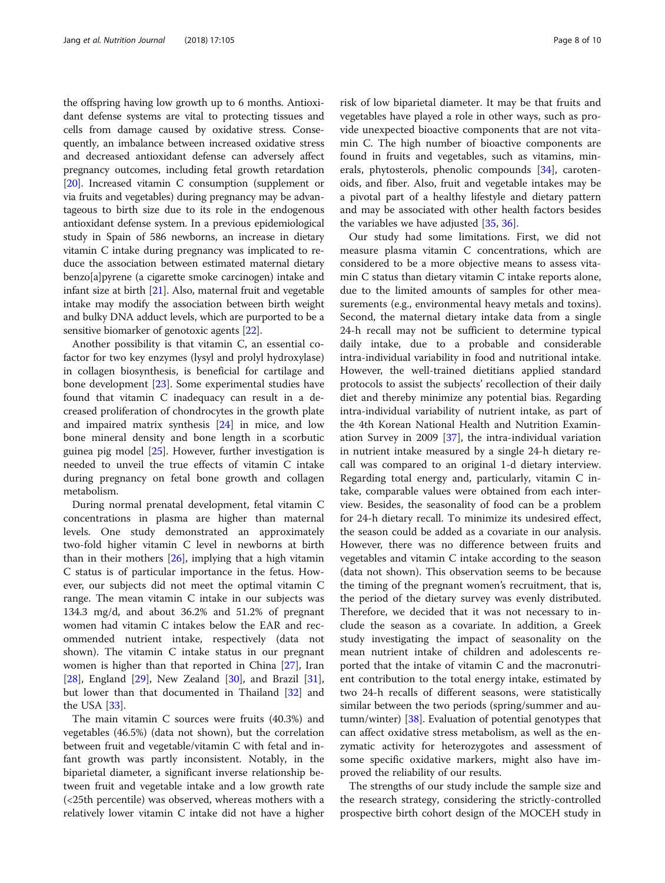the offspring having low growth up to 6 months. Antioxidant defense systems are vital to protecting tissues and cells from damage caused by oxidative stress. Consequently, an imbalance between increased oxidative stress and decreased antioxidant defense can adversely affect pregnancy outcomes, including fetal growth retardation [[20](#page-8-0)]. Increased vitamin C consumption (supplement or via fruits and vegetables) during pregnancy may be advantageous to birth size due to its role in the endogenous antioxidant defense system. In a previous epidemiological study in Spain of 586 newborns, an increase in dietary vitamin C intake during pregnancy was implicated to reduce the association between estimated maternal dietary benzo[a]pyrene (a cigarette smoke carcinogen) intake and infant size at birth [\[21](#page-9-0)]. Also, maternal fruit and vegetable intake may modify the association between birth weight and bulky DNA adduct levels, which are purported to be a sensitive biomarker of genotoxic agents [\[22\]](#page-9-0).

Another possibility is that vitamin C, an essential cofactor for two key enzymes (lysyl and prolyl hydroxylase) in collagen biosynthesis, is beneficial for cartilage and bone development [\[23](#page-9-0)]. Some experimental studies have found that vitamin C inadequacy can result in a decreased proliferation of chondrocytes in the growth plate and impaired matrix synthesis [\[24](#page-9-0)] in mice, and low bone mineral density and bone length in a scorbutic guinea pig model [[25\]](#page-9-0). However, further investigation is needed to unveil the true effects of vitamin C intake during pregnancy on fetal bone growth and collagen metabolism.

During normal prenatal development, fetal vitamin C concentrations in plasma are higher than maternal levels. One study demonstrated an approximately two-fold higher vitamin C level in newborns at birth than in their mothers  $[26]$ , implying that a high vitamin C status is of particular importance in the fetus. However, our subjects did not meet the optimal vitamin C range. The mean vitamin C intake in our subjects was 134.3 mg/d, and about 36.2% and 51.2% of pregnant women had vitamin C intakes below the EAR and recommended nutrient intake, respectively (data not shown). The vitamin C intake status in our pregnant women is higher than that reported in China [[27\]](#page-9-0), Iran [[28\]](#page-9-0), England [[29\]](#page-9-0), New Zealand  $[30]$  $[30]$  $[30]$ , and Brazil  $[31]$  $[31]$ , but lower than that documented in Thailand [[32\]](#page-9-0) and the USA [[33\]](#page-9-0).

The main vitamin C sources were fruits (40.3%) and vegetables (46.5%) (data not shown), but the correlation between fruit and vegetable/vitamin C with fetal and infant growth was partly inconsistent. Notably, in the biparietal diameter, a significant inverse relationship between fruit and vegetable intake and a low growth rate (<25th percentile) was observed, whereas mothers with a relatively lower vitamin C intake did not have a higher

risk of low biparietal diameter. It may be that fruits and vegetables have played a role in other ways, such as provide unexpected bioactive components that are not vitamin C. The high number of bioactive components are found in fruits and vegetables, such as vitamins, minerals, phytosterols, phenolic compounds [\[34](#page-9-0)], carotenoids, and fiber. Also, fruit and vegetable intakes may be a pivotal part of a healthy lifestyle and dietary pattern and may be associated with other health factors besides the variables we have adjusted [[35](#page-9-0), [36](#page-9-0)].

Our study had some limitations. First, we did not measure plasma vitamin C concentrations, which are considered to be a more objective means to assess vitamin C status than dietary vitamin C intake reports alone, due to the limited amounts of samples for other measurements (e.g., environmental heavy metals and toxins). Second, the maternal dietary intake data from a single 24-h recall may not be sufficient to determine typical daily intake, due to a probable and considerable intra-individual variability in food and nutritional intake. However, the well-trained dietitians applied standard protocols to assist the subjects' recollection of their daily diet and thereby minimize any potential bias. Regarding intra-individual variability of nutrient intake, as part of the 4th Korean National Health and Nutrition Examination Survey in 2009 [[37\]](#page-9-0), the intra-individual variation in nutrient intake measured by a single 24-h dietary recall was compared to an original 1-d dietary interview. Regarding total energy and, particularly, vitamin C intake, comparable values were obtained from each interview. Besides, the seasonality of food can be a problem for 24-h dietary recall. To minimize its undesired effect, the season could be added as a covariate in our analysis. However, there was no difference between fruits and vegetables and vitamin C intake according to the season (data not shown). This observation seems to be because the timing of the pregnant women's recruitment, that is, the period of the dietary survey was evenly distributed. Therefore, we decided that it was not necessary to include the season as a covariate. In addition, a Greek study investigating the impact of seasonality on the mean nutrient intake of children and adolescents reported that the intake of vitamin C and the macronutrient contribution to the total energy intake, estimated by two 24-h recalls of different seasons, were statistically similar between the two periods (spring/summer and autumn/winter) [[38](#page-9-0)]. Evaluation of potential genotypes that can affect oxidative stress metabolism, as well as the enzymatic activity for heterozygotes and assessment of some specific oxidative markers, might also have improved the reliability of our results.

The strengths of our study include the sample size and the research strategy, considering the strictly-controlled prospective birth cohort design of the MOCEH study in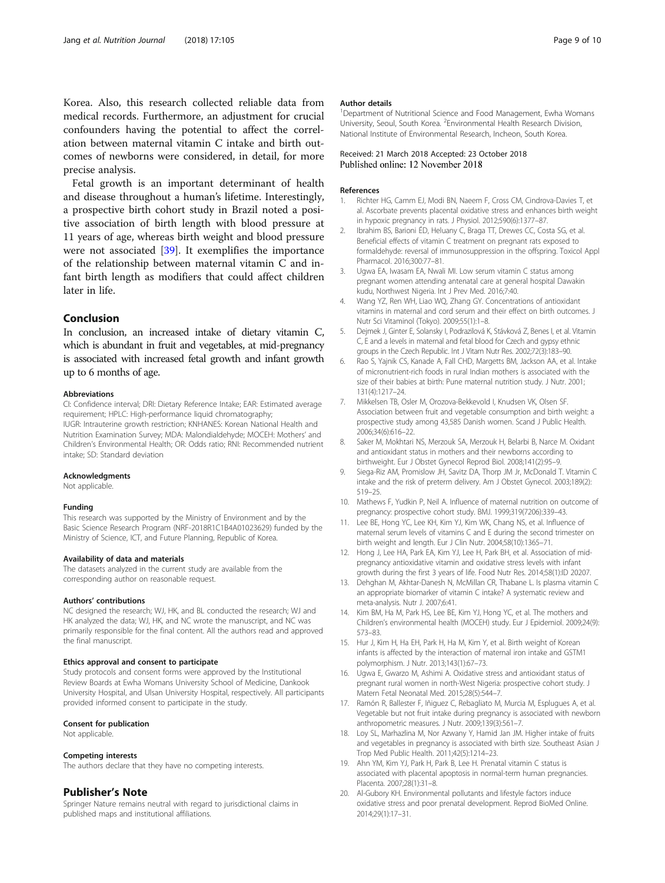<span id="page-8-0"></span>Korea. Also, this research collected reliable data from medical records. Furthermore, an adjustment for crucial confounders having the potential to affect the correlation between maternal vitamin C intake and birth outcomes of newborns were considered, in detail, for more precise analysis.

Fetal growth is an important determinant of health and disease throughout a human's lifetime. Interestingly, a prospective birth cohort study in Brazil noted a positive association of birth length with blood pressure at 11 years of age, whereas birth weight and blood pressure were not associated [[39\]](#page-9-0). It exemplifies the importance of the relationship between maternal vitamin C and infant birth length as modifiers that could affect children later in life.

# Conclusion

In conclusion, an increased intake of dietary vitamin C, which is abundant in fruit and vegetables, at mid-pregnancy is associated with increased fetal growth and infant growth up to 6 months of age.

#### Abbreviations

CI: Confidence interval; DRI: Dietary Reference Intake; EAR: Estimated average requirement; HPLC: High-performance liquid chromatography; IUGR: Intrauterine growth restriction; KNHANES: Korean National Health and Nutrition Examination Survey; MDA: Malondialdehyde; MOCEH: Mothers' and Children's Environmental Health; OR: Odds ratio; RNI: Recommended nutrient intake; SD: Standard deviation

#### Acknowledgments

Not applicable.

#### Funding

This research was supported by the Ministry of Environment and by the Basic Science Research Program (NRF-2018R1C1B4A01023629) funded by the Ministry of Science, ICT, and Future Planning, Republic of Korea.

#### Availability of data and materials

The datasets analyzed in the current study are available from the corresponding author on reasonable request.

#### Authors' contributions

NC designed the research; WJ, HK, and BL conducted the research; WJ and HK analyzed the data; WJ, HK, and NC wrote the manuscript, and NC was primarily responsible for the final content. All the authors read and approved the final manuscript.

### Ethics approval and consent to participate

Study protocols and consent forms were approved by the Institutional Review Boards at Ewha Womans University School of Medicine, Dankook University Hospital, and Ulsan University Hospital, respectively. All participants provided informed consent to participate in the study.

#### Consent for publication

Not applicable.

#### Competing interests

The authors declare that they have no competing interests.

#### Publisher's Note

Springer Nature remains neutral with regard to jurisdictional claims in published maps and institutional affiliations.

#### Author details

<sup>1</sup>Department of Nutritional Science and Food Management, Ewha Womans University, Seoul, South Korea. <sup>2</sup>Environmental Health Research Division, National Institute of Environmental Research, Incheon, South Korea.

## Received: 21 March 2018 Accepted: 23 October 2018 Published online: 12 November 2018

#### References

- 1. Richter HG, Camm EJ, Modi BN, Naeem F, Cross CM, Cindrova-Davies T, et al. Ascorbate prevents placental oxidative stress and enhances birth weight in hypoxic pregnancy in rats. J Physiol. 2012;590(6):1377–87.
- 2. Ibrahim BS, Barioni ÉD, Heluany C, Braga TT, Drewes CC, Costa SG, et al. Beneficial effects of vitamin C treatment on pregnant rats exposed to formaldehyde: reversal of immunosuppression in the offspring. Toxicol Appl Pharmacol. 2016;300:77–81.
- 3. Ugwa EA, Iwasam EA, Nwali MI. Low serum vitamin C status among pregnant women attending antenatal care at general hospital Dawakin kudu, Northwest Nigeria. Int J Prev Med. 2016;7:40.
- 4. Wang YZ, Ren WH, Liao WQ, Zhang GY. Concentrations of antioxidant vitamins in maternal and cord serum and their effect on birth outcomes. J Nutr Sci Vitaminol (Tokyo). 2009;55(1):1–8.
- 5. Dejmek J, Ginter E, Solansky I, Podrazilová K, Stávková Z, Benes I, et al. Vitamin C, E and a levels in maternal and fetal blood for Czech and gypsy ethnic groups in the Czech Republic. Int J Vitam Nutr Res. 2002;72(3):183–90.
- 6. Rao S, Yajnik CS, Kanade A, Fall CHD, Margetts BM, Jackson AA, et al. Intake of micronutrient-rich foods in rural Indian mothers is associated with the size of their babies at birth: Pune maternal nutrition study. J Nutr. 2001; 131(4):1217–24.
- 7. Mikkelsen TB, Osler M, Orozova-Bekkevold I, Knudsen VK, Olsen SF. Association between fruit and vegetable consumption and birth weight: a prospective study among 43,585 Danish women. Scand J Public Health. 2006;34(6):616–22.
- 8. Saker M, Mokhtari NS, Merzouk SA, Merzouk H, Belarbi B, Narce M. Oxidant and antioxidant status in mothers and their newborns according to birthweight. Eur J Obstet Gynecol Reprod Biol. 2008;141(2):95–9.
- 9. Siega-Riz AM, Promislow JH, Savitz DA, Thorp JM Jr, McDonald T. Vitamin C intake and the risk of preterm delivery. Am J Obstet Gynecol. 2003;189(2): 519–25.
- 10. Mathews F, Yudkin P, Neil A. Influence of maternal nutrition on outcome of pregnancy: prospective cohort study. BMJ. 1999;319(7206):339–43.
- 11. Lee BE, Hong YC, Lee KH, Kim YJ, Kim WK, Chang NS, et al. Influence of maternal serum levels of vitamins C and E during the second trimester on birth weight and length. Eur J Clin Nutr. 2004;58(10):1365–71.
- 12. Hong J, Lee HA, Park EA, Kim YJ, Lee H, Park BH, et al. Association of midpregnancy antioxidative vitamin and oxidative stress levels with infant growth during the first 3 years of life. Food Nutr Res. 2014;58(1):ID 20207.
- 13. Dehghan M, Akhtar-Danesh N, McMillan CR, Thabane L. Is plasma vitamin C an appropriate biomarker of vitamin C intake? A systematic review and meta-analysis. Nutr J. 2007;6:41.
- 14. Kim BM, Ha M, Park HS, Lee BE, Kim YJ, Hong YC, et al. The mothers and Children's environmental health (MOCEH) study. Eur J Epidemiol. 2009;24(9): 573–83.
- 15. Hur J, Kim H, Ha EH, Park H, Ha M, Kim Y, et al. Birth weight of Korean infants is affected by the interaction of maternal iron intake and GSTM1 polymorphism. J Nutr. 2013;143(1):67–73.
- 16. Ugwa E, Gwarzo M, Ashimi A. Oxidative stress and antioxidant status of pregnant rural women in north-West Nigeria: prospective cohort study. J Matern Fetal Neonatal Med. 2015;28(5):544–7.
- 17. Ramón R, Ballester F, Iñiguez C, Rebagliato M, Murcia M, Esplugues A, et al. Vegetable but not fruit intake during pregnancy is associated with newborn anthropometric measures. J Nutr. 2009;139(3):561–7.
- 18. Loy SL, Marhazlina M, Nor Azwany Y, Hamid Jan JM. Higher intake of fruits and vegetables in pregnancy is associated with birth size. Southeast Asian J Trop Med Public Health. 2011;42(5):1214–23.
- 19. Ahn YM, Kim YJ, Park H, Park B, Lee H. Prenatal vitamin C status is associated with placental apoptosis in normal-term human pregnancies. Placenta. 2007;28(1):31–8.
- 20. Al-Gubory KH. Environmental pollutants and lifestyle factors induce oxidative stress and poor prenatal development. Reprod BioMed Online. 2014;29(1):17–31.